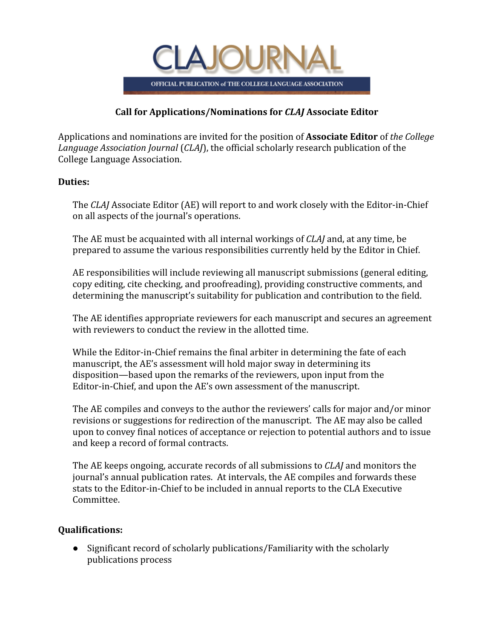

# **Call for Applications/Nominations for** *CLAJ* **Associate Editor**

Applications and nominations are invited for the position of **Associate Editor** of *[the College](http://crl.acrl.org/) [Language Association Journal](http://crl.acrl.org/)* (*CLAJ*), the official scholarly research publication of the College Language Association.

## **Duties:**

The *CLAJ* Associate Editor (AE) will report to and work closely with the Editor-in-Chief on all aspects of the journal's operations.

The AE must be acquainted with all internal workings of *CLAJ* and, at any time, be prepared to assume the various responsibilities currently held by the Editor in Chief.

AE responsibilities will include reviewing all manuscript submissions (general editing, copy editing, cite checking, and proofreading), providing constructive comments, and determining the manuscript's suitability for publication and contribution to the field.

The AE identifies appropriate reviewers for each manuscript and secures an agreement with reviewers to conduct the review in the allotted time.

While the Editor-in-Chief remains the final arbiter in determining the fate of each manuscript, the AE's assessment will hold major sway in determining its disposition—based upon the remarks of the reviewers, upon input from the Editor-in-Chief, and upon the AE's own assessment of the manuscript.

The AE compiles and conveys to the author the reviewers' calls for major and/or minor revisions or suggestions for redirection of the manuscript. The AE may also be called upon to convey final notices of acceptance or rejection to potential authors and to issue and keep a record of formal contracts.

The AE keeps ongoing, accurate records of all submissions to *CLAJ* and monitors the journal's annual publication rates. At intervals, the AE compiles and forwards these stats to the Editor-in-Chief to be included in annual reports to the CLA Executive Committee.

# **Qualifications:**

● Significant record of scholarly publications/Familiarity with the scholarly publications process